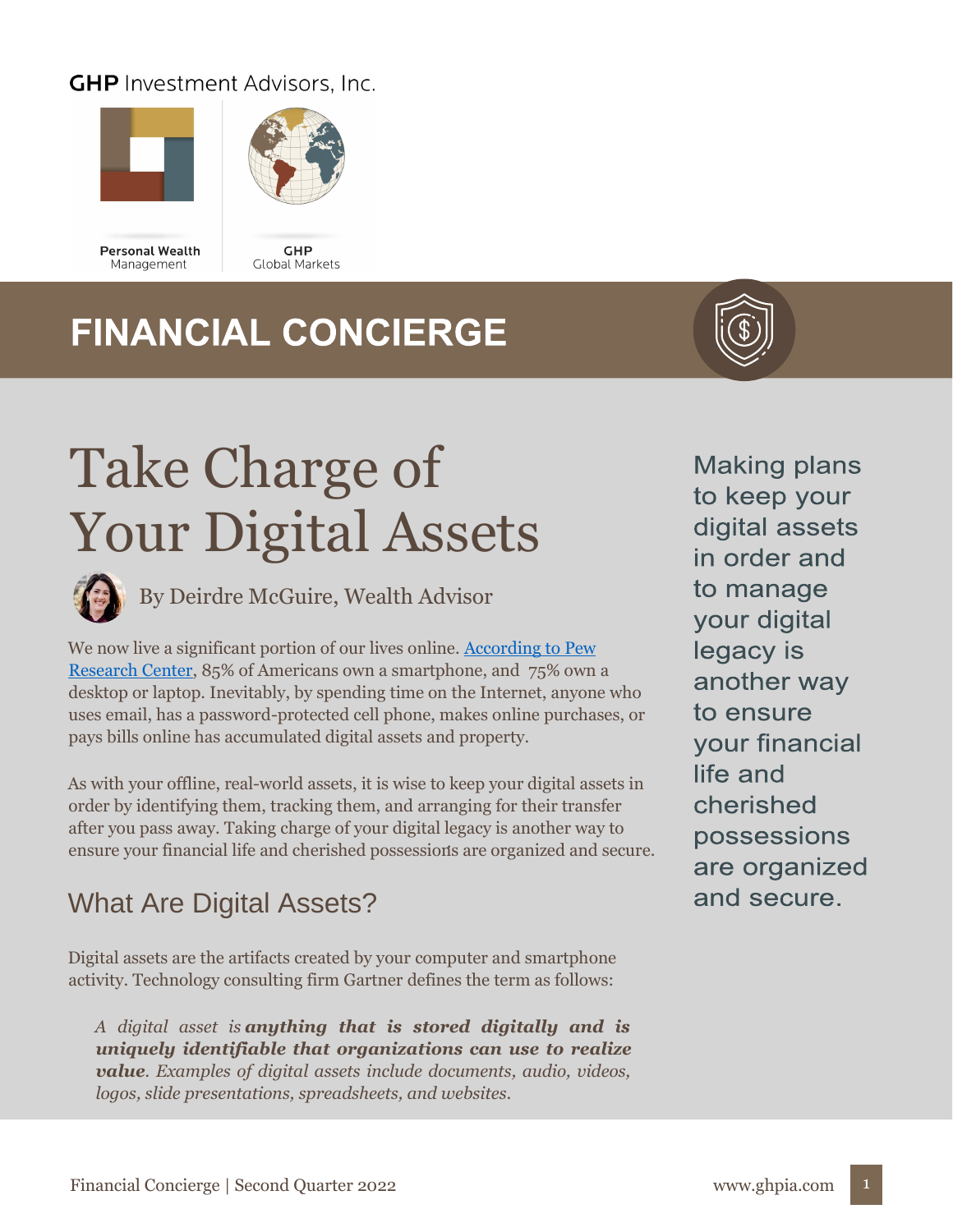#### **GHP** Investment Advisors, Inc.





**Personal Wealth** Management



## **FINANCIAL CONCIERGE**



# Take Charge of Your Digital Assets



By Deirdre McGuire, Wealth Advisor

We now live a significant portion of our lives online. According to Pew [Research Center,](https://www.pewresearch.org/internet/fact-sheet/mobile/) 85% of Americans own a smartphone, and 75% own a desktop or laptop. Inevitably, by spending time on the Internet, anyone who uses email, has a password-protected cell phone, makes online purchases, or pays bills online has accumulated digital assets and property.

As with your offline, real-world assets, it is wise to keep your digital assets in order by identifying them, tracking them, and arranging for their transfer after you pass away. Taking charge of your digital legacy is another way to ensure your financial life and cherished possessions are organized and secure. .

### What Are Digital Assets?

Digital assets are the artifacts created by your computer and smartphone activity. Technology consulting firm Gartner defines the term as follows:

*A digital asset is anything that is stored digitally and is uniquely identifiable that organizations can use to realize value. Examples of digital assets include documents, audio, videos, logos, slide presentations, spreadsheets, and websites.*

**Making plans** to keep your digital assets in order and to manage your digital legacy is another way to ensure **your financial** life and cherished possessions are organized and secure.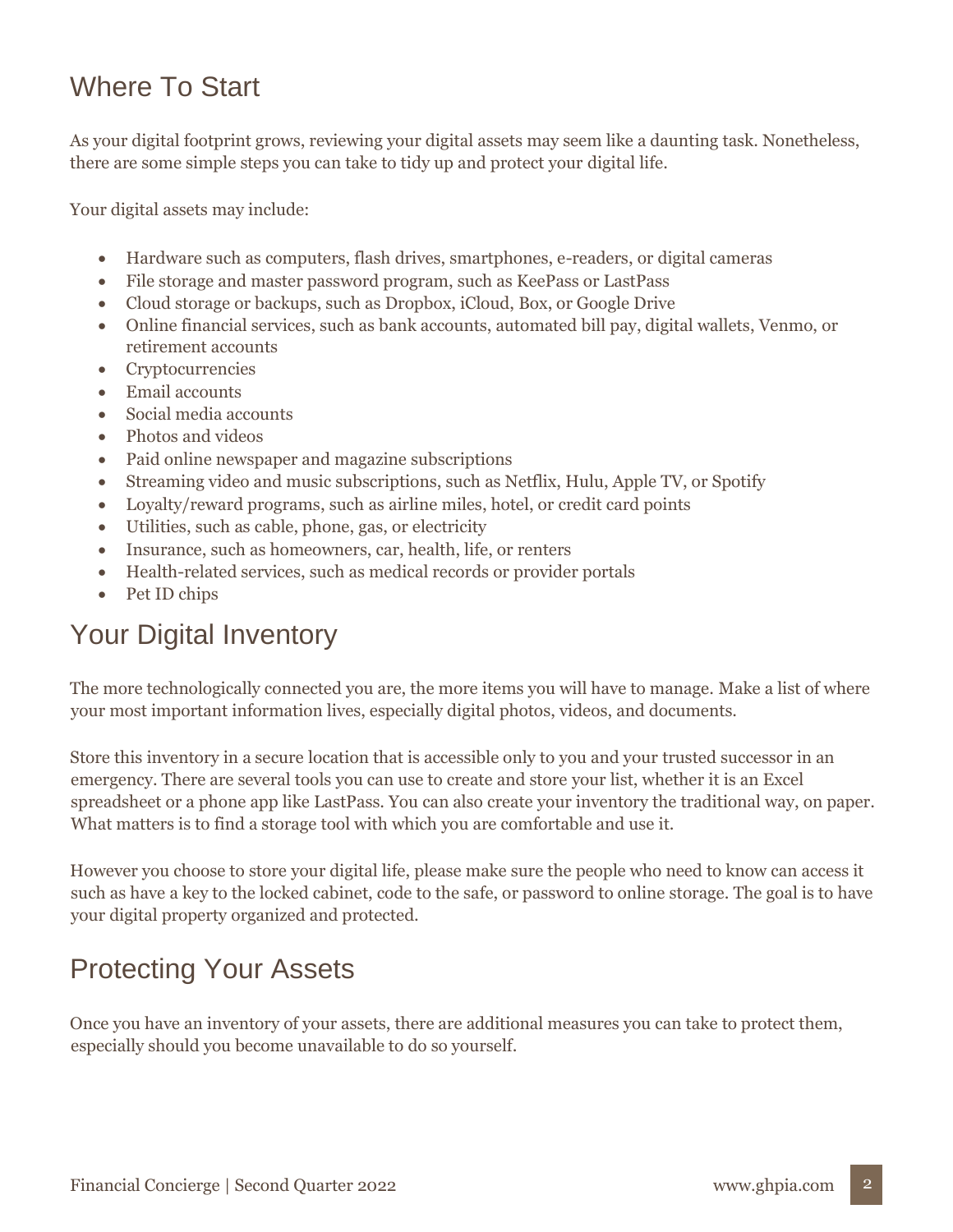#### Where To Start

As your digital footprint grows, reviewing your digital assets may seem like a daunting task. Nonetheless, there are some simple steps you can take to tidy up and protect your digital life.

Your digital assets may include:

- Hardware such as computers, flash drives, smartphones, e-readers, or digital cameras
- File storage and master password program, such as KeePass or LastPass
- Cloud storage or backups, such as Dropbox, iCloud, Box, or Google Drive
- Online financial services, such as bank accounts, automated bill pay, digital wallets, Venmo, or retirement accounts
- Cryptocurrencies
- Email accounts
- Social media accounts
- Photos and videos
- Paid online newspaper and magazine subscriptions
- Streaming video and music subscriptions, such as Netflix, Hulu, Apple TV, or Spotify
- Loyalty/reward programs, such as airline miles, hotel, or credit card points
- Utilities, such as cable, phone, gas, or electricity
- Insurance, such as homeowners, car, health, life, or renters
- Health-related services, such as medical records or provider portals
- Pet ID chips

#### Your Digital Inventory

The more technologically connected you are, the more items you will have to manage. Make a list of where your most important information lives, especially digital photos, videos, and documents.

Store this inventory in a secure location that is accessible only to you and your trusted successor in an emergency. There are several tools you can use to create and store your list, whether it is an Excel spreadsheet or a phone app like LastPass. You can also create your inventory the traditional way, on paper. What matters is to find a storage tool with which you are comfortable and use it.

However you choose to store your digital life, please make sure the people who need to know can access it such as have a key to the locked cabinet, code to the safe, or password to online storage. The goal is to have your digital property organized and protected.

### Protecting Your Assets

Once you have an inventory of your assets, there are additional measures you can take to protect them, especially should you become unavailable to do so yourself.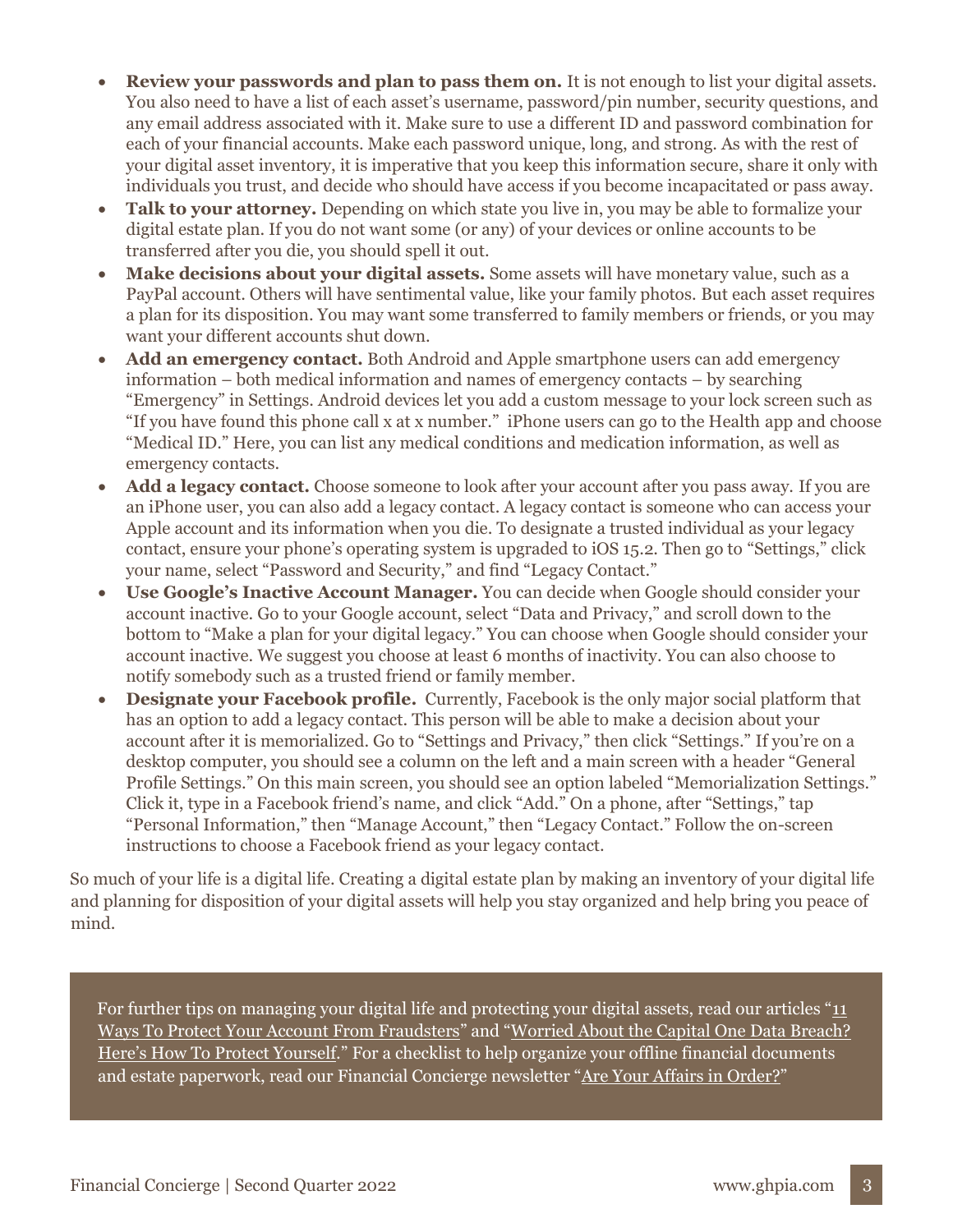- **Review your passwords and plan to pass them on.** It is not enough to list your digital assets. You also need to have a list of each asset's username, password/pin number, security questions, and any email address associated with it. Make sure to use a different ID and password combination for each of your financial accounts. Make each password unique, long, and strong. As with the rest of your digital asset inventory, it is imperative that you keep this information secure, share it only with individuals you trust, and decide who should have access if you become incapacitated or pass away.
- **Talk to your attorney.** Depending on which state you live in, you may be able to formalize your digital estate plan. If you do not want some (or any) of your devices or online accounts to be transferred after you die, you should spell it out.
- **Make decisions about your digital assets.** Some assets will have monetary value, such as a PayPal account. Others will have sentimental value, like your family photos. But each asset requires a plan for its disposition. You may want some transferred to family members or friends, or you may want your different accounts shut down.
- **Add an emergency contact.** Both Android and Apple smartphone users can add emergency information – both medical information and names of emergency contacts – by searching "Emergency" in Settings. Android devices let you add a custom message to your lock screen such as "If you have found this phone call x at x number." iPhone users can go to the Health app and choose "Medical ID." Here, you can list any medical conditions and medication information, as well as emergency contacts.
- **Add a legacy contact.** Choose someone to look after your account after you pass away. If you are an iPhone user, you can also add a legacy contact. A legacy contact is someone who can access your Apple account and its information when you die. To designate a trusted individual as your legacy contact, ensure your phone's operating system is upgraded to iOS 15.2. Then go to "Settings," click your name, select "Password and Security," and find "Legacy Contact."
- **Use Google's Inactive Account Manager.** You can decide when Google should consider your account inactive. Go to your Google account, select "Data and Privacy," and scroll down to the bottom to "Make a plan for your digital legacy." You can choose when Google should consider your account inactive. We suggest you choose at least 6 months of inactivity. You can also choose to notify somebody such as a trusted friend or family member.
- **Designate your Facebook profile.** Currently, Facebook is the only major social platform that has an option to add a legacy contact. This person will be able to make a decision about your account after it is memorialized. Go to "Settings and Privacy," then click "Settings." If you're on a desktop computer, you should see a column on the left and a main screen with a header "General Profile Settings." On this main screen, you should see an option labeled "Memorialization Settings." Click it, type in a Facebook friend's name, and click "Add." On a phone, after "Settings," tap "Personal Information," then "Manage Account," then "Legacy Contact." Follow the on-screen instructions to choose a Facebook friend as your legacy contact.

So much of your life is a digital life. Creating a digital estate plan by making an inventory of your digital life and planning for disposition of your digital assets will help you stay organized and help bring you peace of mind.

For further tips on managing your digital life and protecting your digital assets, read our articles "11 [Ways To Protect Your Account From Fraudsters](https://ghpia.com/11-ways-to-protect-your-account-from-fraudsters/)" and "[Worried About the Capital One Data Breach?](https://ghpia.com/worried-about-the-capital-one-data-breach-heres-how-to-protect-yourself/)  [Here's How To Protect Yourself.](https://ghpia.com/worried-about-the-capital-one-data-breach-heres-how-to-protect-yourself/)" For a checklist to help organize your offline financial documents and estate paperwork, read our Financial Concierge newsletter "[Are Your Affairs in Order?](https://ghpia.com/are-your-affairs-in-order/)"